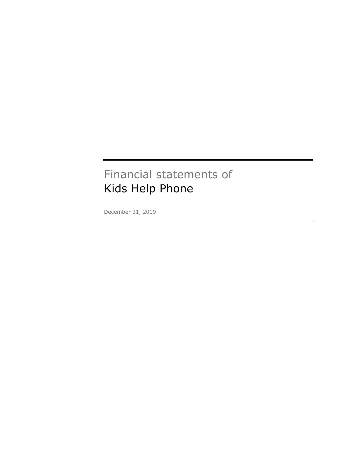# Financial statements of Kids Help Phone

December 31, 2019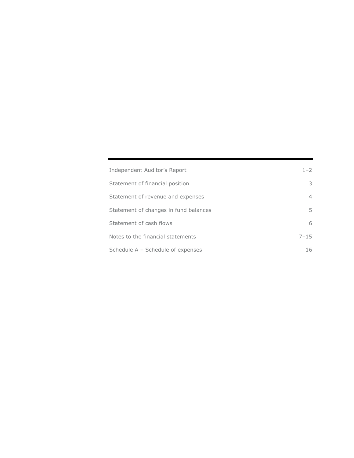| Independent Auditor's Report          | $1 - 2$        |
|---------------------------------------|----------------|
| Statement of financial position       | 3              |
| Statement of revenue and expenses     | $\overline{4}$ |
| Statement of changes in fund balances | 5.             |
| Statement of cash flows               | 6              |
| Notes to the financial statements     | $7 - 15$       |
| Schedule A - Schedule of expenses     | 16             |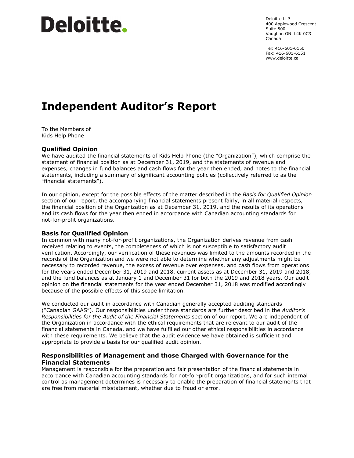# Deloitte.

Deloitte LLP 400 Applewood Crescent Suite 500 Vaughan ON L4K 0C3 Canada

Tel: 416-601-6150 Fax: 416-601-6151 www.deloitte.ca

# **Independent Auditor's Report**

To the Members of Kids Help Phone

# **Qualified Opinion**

We have audited the financial statements of Kids Help Phone (the "Organization"), which comprise the statement of financial position as at December 31, 2019, and the statements of revenue and expenses, changes in fund balances and cash flows for the year then ended, and notes to the financial statements, including a summary of significant accounting policies (collectively referred to as the "financial statements").

In our opinion, except for the possible effects of the matter described in the *Basis for Qualified Opinion* section of our report, the accompanying financial statements present fairly, in all material respects, the financial position of the Organization as at December 31, 2019, and the results of its operations and its cash flows for the year then ended in accordance with Canadian accounting standards for not-for-profit organizations.

# **Basis for Qualified Opinion**

In common with many not-for-profit organizations, the Organization derives revenue from cash received relating to events, the completeness of which is not susceptible to satisfactory audit verification. Accordingly, our verification of these revenues was limited to the amounts recorded in the records of the Organization and we were not able to determine whether any adjustments might be necessary to recorded revenue, the excess of revenue over expenses, and cash flows from operations for the years ended December 31, 2019 and 2018, current assets as at December 31, 2019 and 2018, and the fund balances as at January 1 and December 31 for both the 2019 and 2018 years. Our audit opinion on the financial statements for the year ended December 31, 2018 was modified accordingly because of the possible effects of this scope limitation.

We conducted our audit in accordance with Canadian generally accepted auditing standards ("Canadian GAAS"). Our responsibilities under those standards are further described in the *Auditor's Responsibilities for the Audit of the Financial Statements* section of our report. We are independent of the Organization in accordance with the ethical requirements that are relevant to our audit of the financial statements in Canada, and we have fulfilled our other ethical responsibilities in accordance with these requirements. We believe that the audit evidence we have obtained is sufficient and appropriate to provide a basis for our qualified audit opinion.

# **Responsibilities of Management and those Charged with Governance for the Financial Statements**

Management is responsible for the preparation and fair presentation of the financial statements in accordance with Canadian accounting standards for not-for-profit organizations, and for such internal control as management determines is necessary to enable the preparation of financial statements that are free from material misstatement, whether due to fraud or error.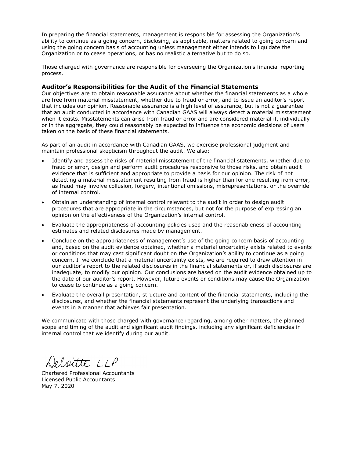In preparing the financial statements, management is responsible for assessing the Organization's ability to continue as a going concern, disclosing, as applicable, matters related to going concern and using the going concern basis of accounting unless management either intends to liquidate the Organization or to cease operations, or has no realistic alternative but to do so.

Those charged with governance are responsible for overseeing the Organization's financial reporting process.

#### **Auditor's Responsibilities for the Audit of the Financial Statements**

Our objectives are to obtain reasonable assurance about whether the financial statements as a whole are free from material misstatement, whether due to fraud or error, and to issue an auditor's report that includes our opinion. Reasonable assurance is a high level of assurance, but is not a guarantee that an audit conducted in accordance with Canadian GAAS will always detect a material misstatement when it exists. Misstatements can arise from fraud or error and are considered material if, individually or in the aggregate, they could reasonably be expected to influence the economic decisions of users taken on the basis of these financial statements.

As part of an audit in accordance with Canadian GAAS, we exercise professional judgment and maintain professional skepticism throughout the audit. We also:

- Identify and assess the risks of material misstatement of the financial statements, whether due to fraud or error, design and perform audit procedures responsive to those risks, and obtain audit evidence that is sufficient and appropriate to provide a basis for our opinion. The risk of not detecting a material misstatement resulting from fraud is higher than for one resulting from error, as fraud may involve collusion, forgery, intentional omissions, misrepresentations, or the override of internal control.
- Obtain an understanding of internal control relevant to the audit in order to design audit procedures that are appropriate in the circumstances, but not for the purpose of expressing an opinion on the effectiveness of the Organization's internal control.
- Evaluate the appropriateness of accounting policies used and the reasonableness of accounting estimates and related disclosures made by management.
- Conclude on the appropriateness of management's use of the going concern basis of accounting and, based on the audit evidence obtained, whether a material uncertainty exists related to events or conditions that may cast significant doubt on the Organization's ability to continue as a going concern. If we conclude that a material uncertainty exists, we are required to draw attention in our auditor's report to the related disclosures in the financial statements or, if such disclosures are inadequate, to modify our opinion. Our conclusions are based on the audit evidence obtained up to the date of our auditor's report. However, future events or conditions may cause the Organization to cease to continue as a going concern.
- Evaluate the overall presentation, structure and content of the financial statements, including the disclosures, and whether the financial statements represent the underlying transactions and events in a manner that achieves fair presentation.

We communicate with those charged with governance regarding, among other matters, the planned scope and timing of the audit and significant audit findings, including any significant deficiencies in internal control that we identify during our audit.

eloitte LLP

Chartered Professional Accountants Licensed Public Accountants May 7, 2020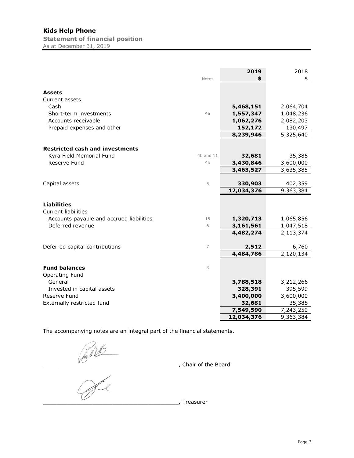# **Kids Help Phone**

**Statement of financial position** As at December 31, 2019

|                                          | <b>Notes</b>   | 2019<br>\$ | 2018<br>\$ |
|------------------------------------------|----------------|------------|------------|
|                                          |                |            |            |
| Assets                                   |                |            |            |
| Current assets                           |                |            |            |
| Cash                                     |                | 5,468,151  | 2,064,704  |
| Short-term investments                   | 4a             | 1,557,347  | 1,048,236  |
| Accounts receivable                      |                | 1,062,276  | 2,082,203  |
| Prepaid expenses and other               |                | 152,172    | 130,497    |
|                                          |                | 8,239,946  | 5,325,640  |
| <b>Restricted cash and investments</b>   |                |            |            |
| Kyra Field Memorial Fund                 | $4b$ and $11$  | 32,681     | 35,385     |
| Reserve Fund                             | 4 <sub>b</sub> | 3,430,846  | 3,600,000  |
|                                          |                | 3,463,527  | 3,635,385  |
|                                          |                |            |            |
| Capital assets                           | 5              | 330,903    | 402,359    |
|                                          |                | 12,034,376 | 9,363,384  |
|                                          |                |            |            |
| <b>Liabilities</b>                       |                |            |            |
| <b>Current liabilities</b>               |                |            |            |
| Accounts payable and accrued liabilities | 15             | 1,320,713  | 1,065,856  |
| Deferred revenue                         | 6              | 3,161,561  | 1,047,518  |
|                                          |                | 4,482,274  | 2,113,374  |
| Deferred capital contributions           | $\overline{7}$ | 2,512      | 6,760      |
|                                          |                | 4,484,786  | 2,120,134  |
|                                          |                |            |            |
| <b>Fund balances</b>                     | 3              |            |            |
| Operating Fund                           |                |            |            |
| General                                  |                | 3,788,518  | 3,212,266  |
| Invested in capital assets               |                | 328,391    | 395,599    |
| Reserve Fund                             |                | 3,400,000  | 3,600,000  |
| Externally restricted fund               |                | 32,681     | 35,385     |
|                                          |                | 7,549,590  | 7,243,250  |
|                                          |                | 12,034,376 | 9,363,384  |

The accompanying notes are an integral part of the financial statements.

\_\_\_\_\_\_\_\_\_\_\_\_\_\_\_\_\_\_\_\_\_\_\_\_\_\_\_\_\_\_\_\_\_\_\_\_\_\_\_\_\_, Chair of the Board

\_\_\_\_\_\_\_\_\_\_\_\_\_\_\_\_\_\_\_\_\_\_\_\_\_\_\_\_\_\_\_\_\_\_\_\_\_\_\_\_\_, Treasurer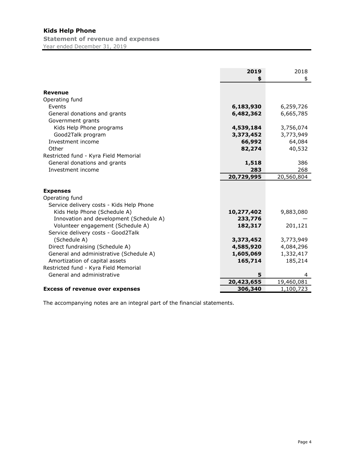# **Kids Help Phone Statement of revenue and expenses**

Year ended December 31, 2019

|                                          | 2019<br>\$ | 2018<br>\$ |
|------------------------------------------|------------|------------|
| <b>Revenue</b>                           |            |            |
| Operating fund                           |            |            |
| Events                                   | 6,183,930  | 6,259,726  |
| General donations and grants             | 6,482,362  | 6,665,785  |
| Government grants                        |            |            |
| Kids Help Phone programs                 | 4,539,184  | 3,756,074  |
| Good2Talk program                        | 3,373,452  | 3,773,949  |
| Investment income                        | 66,992     | 64,084     |
| Other                                    | 82,274     | 40,532     |
| Restricted fund - Kyra Field Memorial    |            |            |
| General donations and grants             | 1,518      | 386        |
| Investment income                        | 283        | 268        |
|                                          | 20,729,995 | 20,560,804 |
|                                          |            |            |
| <b>Expenses</b>                          |            |            |
| Operating fund                           |            |            |
| Service delivery costs - Kids Help Phone |            |            |
| Kids Help Phone (Schedule A)             | 10,277,402 | 9,883,080  |
| Innovation and development (Schedule A)  | 233,776    |            |
| Volunteer engagement (Schedule A)        | 182,317    | 201,121    |
| Service delivery costs - Good2Talk       |            |            |
| (Schedule A)                             | 3,373,452  | 3,773,949  |
| Direct fundraising (Schedule A)          | 4,585,920  | 4,084,296  |
| General and administrative (Schedule A)  | 1,605,069  | 1,332,417  |
| Amortization of capital assets           | 165,714    | 185,214    |
| Restricted fund - Kyra Field Memorial    |            |            |
| General and administrative               | 5          | 4          |
|                                          | 20,423,655 | 19,460,081 |
| <b>Excess of revenue over expenses</b>   | 306,340    | 1,100,723  |

The accompanying notes are an integral part of the financial statements.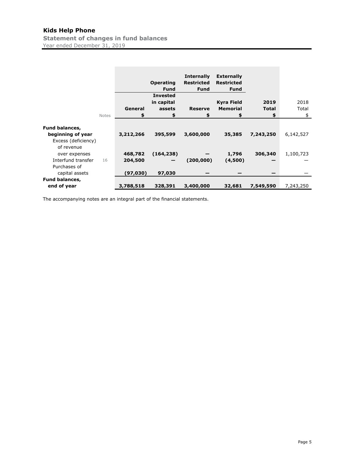# **Kids Help Phone**

**Statement of changes in fund balances** Year ended December 31, 2019

|                                                                                 |           | <b>Operating</b><br><b>Fund</b><br><b>Invested</b> | <b>Internally</b><br><b>Restricted</b><br><b>Fund</b> | <b>Externally</b><br><b>Restricted</b><br><b>Fund</b> |              |           |
|---------------------------------------------------------------------------------|-----------|----------------------------------------------------|-------------------------------------------------------|-------------------------------------------------------|--------------|-----------|
|                                                                                 |           | in capital                                         |                                                       | <b>Kyra Field</b>                                     | 2019         | 2018      |
|                                                                                 | General   | assets                                             | <b>Reserve</b>                                        | <b>Memorial</b>                                       | <b>Total</b> | Total     |
| <b>Notes</b>                                                                    | \$        | \$                                                 | \$                                                    | \$                                                    | \$           | \$        |
| <b>Fund balances,</b><br>beginning of year<br>Excess (deficiency)<br>of revenue | 3,212,266 | 395,599                                            | 3,600,000                                             | 35,385                                                | 7,243,250    | 6,142,527 |
| over expenses                                                                   | 468,782   | (164, 238)                                         |                                                       | 1,796                                                 | 306,340      | 1,100,723 |
| Interfund transfer<br>16                                                        | 204,500   |                                                    | (200,000)                                             | (4,500)                                               |              |           |
| Purchases of<br>capital assets                                                  | (97,030)  | 97,030                                             |                                                       |                                                       |              |           |
| <b>Fund balances,</b>                                                           |           |                                                    |                                                       |                                                       |              |           |
| end of year                                                                     | 3,788,518 | 328,391                                            | 3,400,000                                             | 32,681                                                | 7,549,590    | 7,243,250 |

The accompanying notes are an integral part of the financial statements.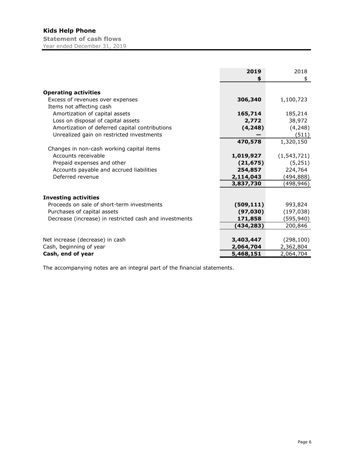|                                                        | 2019       | 2018          |
|--------------------------------------------------------|------------|---------------|
|                                                        | \$         | \$            |
| <b>Operating activities</b>                            |            |               |
| Excess of revenues over expenses                       | 306,340    | 1,100,723     |
| Items not affecting cash                               |            |               |
| Amortization of capital assets                         | 165,714    | 185,214       |
| Loss on disposal of capital assets                     | 2,772      | 38,972        |
| Amortization of deferred capital contributions         | (4, 248)   | (4, 248)      |
| Unrealized gain on restricted investments              |            | (511)         |
|                                                        | 470,578    | 1,320,150     |
| Changes in non-cash working capital items              |            |               |
| Accounts receivable                                    | 1,019,927  | (1, 543, 721) |
| Prepaid expenses and other                             | (21, 675)  | (5,251)       |
| Accounts payable and accrued liabilities               | 254,857    | 224,764       |
| Deferred revenue                                       | 2,114,043  | (494,888)     |
|                                                        | 3,837,730  | (498,946)     |
|                                                        |            |               |
| <b>Investing activities</b>                            |            |               |
| Proceeds on sale of short-term investments             | (509, 111) | 993,824       |
| Purchases of capital assets                            | (97, 030)  | (197, 038)    |
| Decrease (increase) in restricted cash and investments | 171,858    | (595,940)     |
|                                                        | (434,283)  | 200,846       |
|                                                        |            |               |
| Net increase (decrease) in cash                        | 3,403,447  | (298, 100)    |
| Cash, beginning of year                                | 2,064,704  | 2,362,804     |
| Cash, end of year                                      | 5,468,151  | 2,064,704     |

The accompanying notes are an integral part of the financial statements.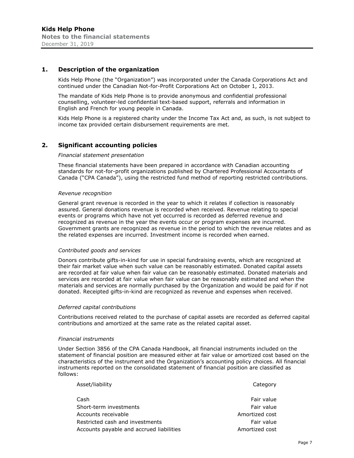#### **1. Description of the organization**

Kids Help Phone (the "Organization") was incorporated under the Canada Corporations Act and continued under the Canadian Not-for-Profit Corporations Act on October 1, 2013.

The mandate of Kids Help Phone is to provide anonymous and confidential professional counselling, volunteer-led confidential text-based support, referrals and information in English and French for young people in Canada.

Kids Help Phone is a registered charity under the Income Tax Act and, as such, is not subject to income tax provided certain disbursement requirements are met.

#### **2. Significant accounting policies**

#### *Financial statement presentation*

These financial statements have been prepared in accordance with Canadian accounting standards for not-for-profit organizations published by Chartered Professional Accountants of Canada ("CPA Canada"), using the restricted fund method of reporting restricted contributions.

#### *Revenue recognition*

General grant revenue is recorded in the year to which it relates if collection is reasonably assured. General donations revenue is recorded when received. Revenue relating to special events or programs which have not yet occurred is recorded as deferred revenue and recognized as revenue in the year the events occur or program expenses are incurred. Government grants are recognized as revenue in the period to which the revenue relates and as the related expenses are incurred. Investment income is recorded when earned.

#### *Contributed goods and services*

Donors contribute gifts-in-kind for use in special fundraising events, which are recognized at their fair market value when such value can be reasonably estimated. Donated capital assets are recorded at fair value when fair value can be reasonably estimated. Donated materials and services are recorded at fair value when fair value can be reasonably estimated and when the materials and services are normally purchased by the Organization and would be paid for if not donated. Receipted gifts-in-kind are recognized as revenue and expenses when received.

#### *Deferred capital contributions*

Contributions received related to the purchase of capital assets are recorded as deferred capital contributions and amortized at the same rate as the related capital asset.

#### *Financial instruments*

Under Section 3856 of the CPA Canada Handbook, all financial instruments included on the statement of financial position are measured either at fair value or amortized cost based on the characteristics of the instrument and the Organization's accounting policy choices. All financial instruments reported on the consolidated statement of financial position are classified as follows:

| Asset/liability                          | Category       |
|------------------------------------------|----------------|
| Cash                                     | Fair value     |
| Short-term investments                   | Fair value     |
| Accounts receivable                      | Amortized cost |
| Restricted cash and investments          | Fair value     |
| Accounts payable and accrued liabilities | Amortized cost |
|                                          |                |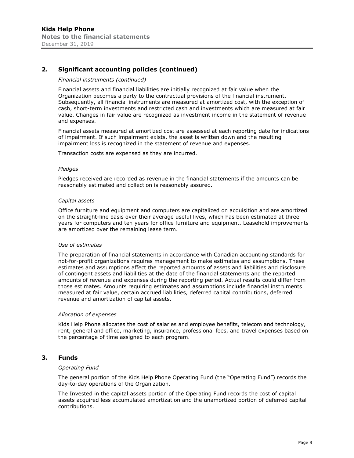# **2. Significant accounting policies (continued)**

#### *Financial instruments (continued)*

Financial assets and financial liabilities are initially recognized at fair value when the Organization becomes a party to the contractual provisions of the financial instrument. Subsequently, all financial instruments are measured at amortized cost, with the exception of cash, short-term investments and restricted cash and investments which are measured at fair value. Changes in fair value are recognized as investment income in the statement of revenue and expenses.

Financial assets measured at amortized cost are assessed at each reporting date for indications of impairment. If such impairment exists, the asset is written down and the resulting impairment loss is recognized in the statement of revenue and expenses.

Transaction costs are expensed as they are incurred.

#### *Pledges*

Pledges received are recorded as revenue in the financial statements if the amounts can be reasonably estimated and collection is reasonably assured.

#### *Capital assets*

Office furniture and equipment and computers are capitalized on acquisition and are amortized on the straight-line basis over their average useful lives, which has been estimated at three years for computers and ten years for office furniture and equipment. Leasehold improvements are amortized over the remaining lease term.

#### *Use of estimates*

The preparation of financial statements in accordance with Canadian accounting standards for not-for-profit organizations requires management to make estimates and assumptions. These estimates and assumptions affect the reported amounts of assets and liabilities and disclosure of contingent assets and liabilities at the date of the financial statements and the reported amounts of revenue and expenses during the reporting period. Actual results could differ from those estimates. Amounts requiring estimates and assumptions include financial instruments measured at fair value, certain accrued liabilities, deferred capital contributions, deferred revenue and amortization of capital assets.

#### *Allocation of expenses*

Kids Help Phone allocates the cost of salaries and employee benefits, telecom and technology, rent, general and office, marketing, insurance, professional fees, and travel expenses based on the percentage of time assigned to each program.

# **3. Funds**

#### *Operating Fund*

The general portion of the Kids Help Phone Operating Fund (the "Operating Fund") records the day-to-day operations of the Organization.

The Invested in the capital assets portion of the Operating Fund records the cost of capital assets acquired less accumulated amortization and the unamortized portion of deferred capital contributions.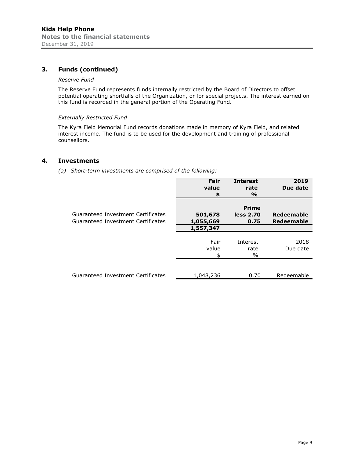# **3. Funds (continued)**

#### *Reserve Fund*

The Reserve Fund represents funds internally restricted by the Board of Directors to offset potential operating shortfalls of the Organization, or for special projects. The interest earned on this fund is recorded in the general portion of the Operating Fund.

#### *Externally Restricted Fund*

The Kyra Field Memorial Fund records donations made in memory of Kyra Field, and related interest income. The fund is to be used for the development and training of professional counsellors.

## **4. Investments**

*(a) Short-term investments are comprised of the following:* 

|                                                                          | Fair<br>value        | <b>Interest</b><br>rate<br>$\frac{9}{6}$ | 2019<br>Due date         |
|--------------------------------------------------------------------------|----------------------|------------------------------------------|--------------------------|
| Guaranteed Investment Certificates<br>Guaranteed Investment Certificates | 501,678<br>1,055,669 | <b>Prime</b><br>less 2.70<br>0.75        | Redeemable<br>Redeemable |
|                                                                          | 1,557,347            |                                          |                          |
|                                                                          | Fair<br>value        | Interest<br>rate<br>$\%$                 | 2018<br>Due date         |
| Guaranteed Investment Certificates                                       | 1,048,236            | 0.70                                     | Redeemable               |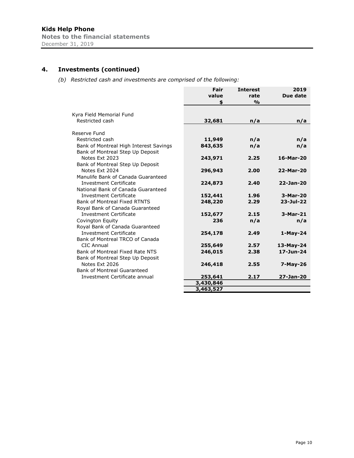# **4. Investments (continued)**

*(b) Restricted cash and investments are comprised of the following:* 

| value<br>rate                                            |            |
|----------------------------------------------------------|------------|
|                                                          | Due date   |
| $\frac{0}{0}$<br>\$                                      |            |
|                                                          |            |
| Kyra Field Memorial Fund                                 |            |
| Restricted cash<br>32,681<br>n/a                         | n/a        |
| Reserve Fund                                             |            |
| Restricted cash<br>11,949<br>n/a                         | n/a        |
| Bank of Montreal High Interest Savings<br>843,635<br>n/a | n/a        |
| Bank of Montreal Step Up Deposit                         |            |
| Notes Ext 2023<br>243,971<br>2.25                        | 16-Mar-20  |
| Bank of Montreal Step Up Deposit                         |            |
| 296,943<br>Notes Ext 2024<br>2.00                        | 22-Mar-20  |
| Manulife Bank of Canada Guaranteed                       |            |
| <b>Investment Certificate</b><br>224,873<br>2.40         | 22-Jan-20  |
| National Bank of Canada Guaranteed                       |            |
| <b>Investment Certificate</b><br>152,441<br>1.96         | 3-Mar-20   |
| <b>Bank of Montreal Fixed RTNTS</b><br>248,220<br>2.29   | 23-Jul-22  |
| Royal Bank of Canada Guaranteed                          |            |
| <b>Investment Certificate</b><br>152,677<br>2.15         | 3-Mar-21   |
| 236<br>Covington Equity<br>n/a                           | n/a        |
| Royal Bank of Canada Guaranteed                          |            |
| <b>Investment Certificate</b><br>254,178<br>2.49         | $1-May-24$ |
| Bank of Montreal TRCO of Canada                          |            |
| CIC Annual<br>255,649<br>2.57                            | 13-May-24  |
| Bank of Montreal Fixed Rate NTS<br>246,015<br>2.38       | 17-Jun-24  |
| Bank of Montreal Step Up Deposit                         |            |
| Notes Ext 2026<br>246,418<br>2.55                        | $7-May-26$ |
| Bank of Montreal Guaranteed                              |            |
| Investment Certificate annual<br>2.17<br>253,641         | 27-Jan-20  |
| 3,430,846                                                |            |
| 3,463,527                                                |            |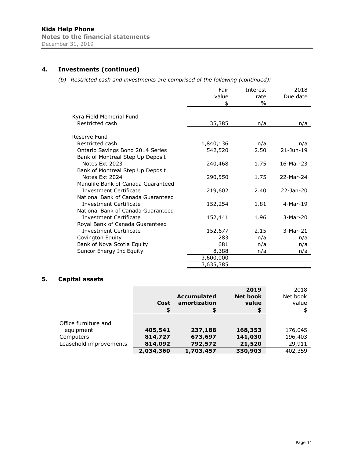# **4. Investments (continued)**

*(b) Restricted cash and investments are comprised of the following (continued):* 

|                                    | Fair      | Interest | 2018          |
|------------------------------------|-----------|----------|---------------|
|                                    | value     | rate     | Due date      |
|                                    | \$        | $\%$     |               |
|                                    |           |          |               |
| Kyra Field Memorial Fund           |           |          |               |
| Restricted cash                    | 35,385    | n/a      | n/a           |
| Reserve Fund                       |           |          |               |
| Restricted cash                    | 1,840,136 | n/a      | n/a           |
| Ontario Savings Bond 2014 Series   | 542,520   | 2.50     | $21 - Jun-19$ |
| Bank of Montreal Step Up Deposit   |           |          |               |
| Notes Ext 2023                     | 240,468   | 1.75     | 16-Mar-23     |
| Bank of Montreal Step Up Deposit   |           |          |               |
| Notes Ext 2024                     | 290,550   | 1.75     | 22-Mar-24     |
| Manulife Bank of Canada Guaranteed |           |          |               |
| Investment Certificate             | 219,602   | 2.40     | 22-Jan-20     |
| National Bank of Canada Guaranteed |           |          |               |
| Investment Certificate             | 152,254   | 1.81     | 4-Mar-19      |
| National Bank of Canada Guaranteed |           |          |               |
| <b>Investment Certificate</b>      | 152,441   | 1.96     | 3-Mar-20      |
| Royal Bank of Canada Guaranteed    |           |          |               |
| <b>Investment Certificate</b>      | 152,677   | 2.15     | 3-Mar-21      |
| Covington Equity                   | 283       | n/a      | n/a           |
| Bank of Nova Scotia Equity         | 681       | n/a      | n/a           |
| Suncor Energy Inc Equity           | 8,388     | n/a      | n/a           |
|                                    | 3,600,000 |          |               |
|                                    | 3,635,385 |          |               |

# **5. Capital assets**

|                                   | Cost      | <b>Accumulated</b><br>amortization | 2019<br><b>Net book</b><br>value | 2018<br>Net book<br>value |
|-----------------------------------|-----------|------------------------------------|----------------------------------|---------------------------|
|                                   |           |                                    |                                  |                           |
| Office furniture and<br>equipment | 405,541   | 237,188                            | 168,353                          | 176,045                   |
| Computers                         | 814,727   | 673,697                            | 141,030                          | 196,403                   |
| Leasehold improvements            | 814,092   | 792,572                            | 21,520                           | 29,911                    |
|                                   | 2,034,360 | 1,703,457                          | 330,903                          | 402,359                   |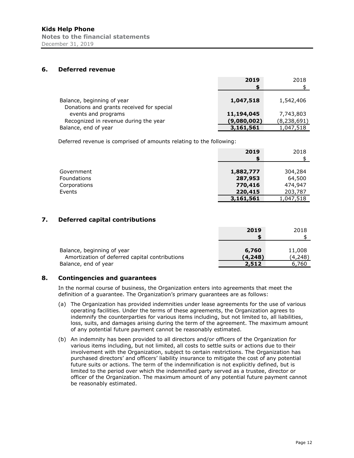# **6. Deferred revenue**

|                                                                         | 2019                      | 2018                       |
|-------------------------------------------------------------------------|---------------------------|----------------------------|
| Balance, beginning of year<br>Donations and grants received for special | 1,047,518                 | 1,542,406                  |
| events and programs<br>Recognized in revenue during the year            | 11,194,045<br>(9,080,002) | 7,743,803<br>(8, 238, 691) |
| Balance, end of year                                                    | 3,161,561                 | 1,047,518                  |

Deferred revenue is comprised of amounts relating to the following:

|                    | 2019      | 2018      |
|--------------------|-----------|-----------|
|                    |           |           |
|                    |           |           |
| Government         | 1,882,777 | 304,284   |
| <b>Foundations</b> | 287,953   | 64,500    |
| Corporations       | 770,416   | 474,947   |
| Events             | 220,415   | 203,787   |
|                    | 3,161,561 | 1,047,518 |

# **7. Deferred capital contributions**

|                                                | 2019    | 2018    |
|------------------------------------------------|---------|---------|
|                                                |         |         |
|                                                |         |         |
| Balance, beginning of year                     | 6,760   | 11,008  |
| Amortization of deferred capital contributions | (4,248) | (4,248) |
| Balance, end of year                           | 2,512   | 6.760   |

# **8. Contingencies and guarantees**

In the normal course of business, the Organization enters into agreements that meet the definition of a guarantee. The Organization's primary guarantees are as follows:

- (a) The Organization has provided indemnities under lease agreements for the use of various operating facilities. Under the terms of these agreements, the Organization agrees to indemnify the counterparties for various items including, but not limited to, all liabilities, loss, suits, and damages arising during the term of the agreement. The maximum amount of any potential future payment cannot be reasonably estimated.
- (b) An indemnity has been provided to all directors and/or officers of the Organization for various items including, but not limited, all costs to settle suits or actions due to their involvement with the Organization, subject to certain restrictions. The Organization has purchased directors' and officers' liability insurance to mitigate the cost of any potential future suits or actions. The term of the indemnification is not explicitly defined, but is limited to the period over which the indemnified party served as a trustee, director or officer of the Organization. The maximum amount of any potential future payment cannot be reasonably estimated.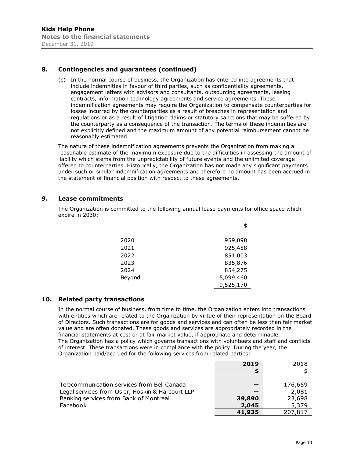# **8. Contingencies and guarantees (continued)**

(c) In the normal course of business, the Organization has entered into agreements that include indemnities in favour of third parties, such as confidentiality agreements, engagement letters with advisors and consultants, outsourcing agreements, leasing contracts, information technology agreements and service agreements. These indemnification agreements may require the Organization to compensate counterparties for losses incurred by the counterparties as a result of breaches in representation and regulations or as a result of litigation claims or statutory sanctions that may be suffered by the counterparty as a consequence of the transaction. The terms of these indemnities are not explicitly defined and the maximum amount of any potential reimbursement cannot be reasonably estimated.

The nature of these indemnification agreements prevents the Organization from making a reasonable estimate of the maximum exposure due to the difficulties in assessing the amount of liability which stems from the unpredictability of future events and the unlimited coverage offered to counterparties. Historically, the Organization has not made any significant payments under such or similar indemnification agreements and therefore no amount has been accrued in the statement of financial position with respect to these agreements.

# **9. Lease commitments**

The Organization is committed to the following annual lease payments for office space which expire in 2030:

| 2020   | 959,098   |
|--------|-----------|
| 2021   | 925,458   |
| 2022   | 851,003   |
| 2023   | 835,876   |
| 2024   | 854,275   |
| Beyond | 5,099,460 |
|        | 9,525,170 |

# **10. Related party transactions**

In the normal course of business, from time to time, the Organization enters into transactions with entities which are related to the Organization by virtue of their representation on the Board of Directors. Such transactions are for goods and services and can often be less than fair market value and are often donated. These goods and services are appropriately recorded in the financial statements at cost or at fair market value, if appropriate and determinable. The Organization has a policy which governs transactions with volunteers and staff and conflicts of interest. These transactions were in compliance with the policy. During the year, the Organization paid/accrued for the following services from related parties:

|                                                  | 2019   | 2018    |
|--------------------------------------------------|--------|---------|
|                                                  |        |         |
|                                                  |        |         |
| Telecommunication services from Bell Canada      |        | 176,659 |
| Legal services from Osler, Hoskin & Harcourt LLP |        | 2,081   |
| Banking services from Bank of Montreal           | 39,890 | 23,698  |
| Facebook                                         | 2,045  | 5,379   |
|                                                  | 41,935 | 207,817 |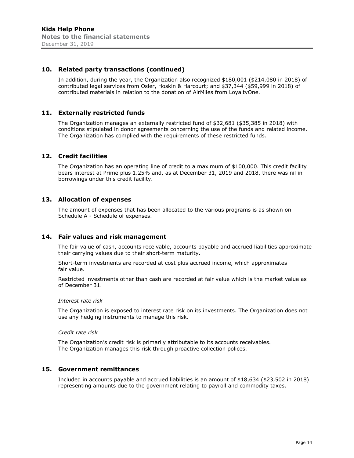#### **10. Related party transactions (continued)**

In addition, during the year, the Organization also recognized \$180,001 (\$214,080 in 2018) of contributed legal services from Osler, Hoskin & Harcourt; and \$37,344 (\$59,999 in 2018) of contributed materials in relation to the donation of AirMiles from LoyaltyOne.

#### **11. Externally restricted funds**

The Organization manages an externally restricted fund of \$32,681 (\$35,385 in 2018) with conditions stipulated in donor agreements concerning the use of the funds and related income. The Organization has complied with the requirements of these restricted funds.

#### **12. Credit facilities**

The Organization has an operating line of credit to a maximum of \$100,000. This credit facility bears interest at Prime plus 1.25% and, as at December 31, 2019 and 2018, there was nil in borrowings under this credit facility.

#### **13. Allocation of expenses**

The amount of expenses that has been allocated to the various programs is as shown on Schedule A - Schedule of expenses.

#### **14. Fair values and risk management**

The fair value of cash, accounts receivable, accounts payable and accrued liabilities approximate their carrying values due to their short-term maturity.

Short-term investments are recorded at cost plus accrued income, which approximates fair value.

Restricted investments other than cash are recorded at fair value which is the market value as of December 31.

#### *Interest rate risk*

The Organization is exposed to interest rate risk on its investments. The Organization does not use any hedging instruments to manage this risk.

#### *Credit rate risk*

The Organization's credit risk is primarily attributable to its accounts receivables. The Organization manages this risk through proactive collection polices.

## **15. Government remittances**

Included in accounts payable and accrued liabilities is an amount of \$18,634 (\$23,502 in 2018) representing amounts due to the government relating to payroll and commodity taxes.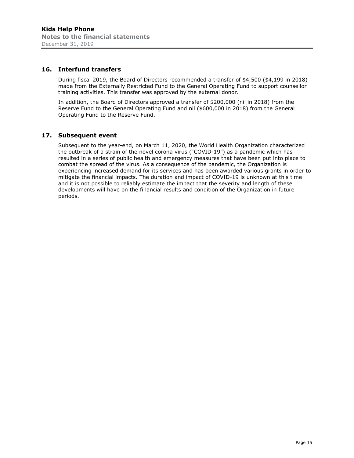### **16. Interfund transfers**

During fiscal 2019, the Board of Directors recommended a transfer of \$4,500 (\$4,199 in 2018) made from the Externally Restricted Fund to the General Operating Fund to support counsellor training activities. This transfer was approved by the external donor.

In addition, the Board of Directors approved a transfer of \$200,000 (nil in 2018) from the Reserve Fund to the General Operating Fund and nil (\$600,000 in 2018) from the General Operating Fund to the Reserve Fund.

#### **17. Subsequent event**

Subsequent to the year-end, on March 11, 2020, the World Health Organization characterized the outbreak of a strain of the novel corona virus ("COVID-19") as a pandemic which has resulted in a series of public health and emergency measures that have been put into place to combat the spread of the virus. As a consequence of the pandemic, the Organization is experiencing increased demand for its services and has been awarded various grants in order to mitigate the financial impacts. The duration and impact of COVID-19 is unknown at this time and it is not possible to reliably estimate the impact that the severity and length of these developments will have on the financial results and condition of the Organization in future periods.